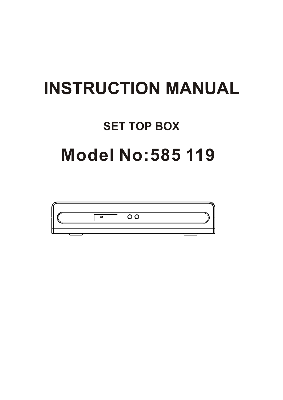# **INSTRUCTION MANUAL**

# **SET TOP BOX**

# **Model No:585 119**

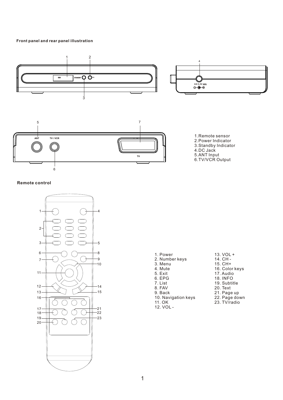# **Front panel and rear panel illustration**



# **Remote control**

6



| 1. Power            | $13. VOL +$     |
|---------------------|-----------------|
| 2. Number keys      | 14. CH-         |
| 3. Menu             | $15.$ CH+       |
| 4. Mute             | 16. Color keys  |
| 5. Exit             | 17. Audio       |
| 6. EPG              | <b>18. INFO</b> |
| 7. List             | 19. Subtitle    |
| 8. FAV              | 20. Text        |
| 9. Back             | 21. Page up     |
| 10. Navigation keys | 22. Page down   |
| 11. OK              | 23. TV/radio    |
| 12. VOL -           |                 |
|                     |                 |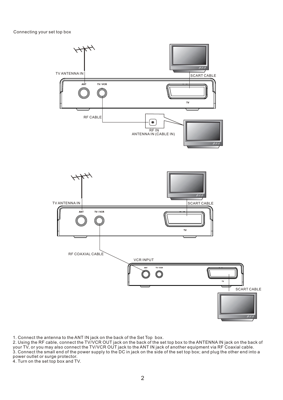Connecting your set top box



1. Connect the antenna to the ANT IN jack on the back of the Set Top box.

2. Using the RF cable, connect the TV/VCR OUT jack on the back of the set top box to the ANTENNA IN jack on the back of your TV, or you may also connect the TV/VCR OUT jack to the ANT IN jack of another equipment via RF Coaxial cable. 3. Connect the small end of the power supply to the DC in jack on the side of the set top box; and plug the other end into a power outlet or surge protector.

4. Turn on the set top box and TV.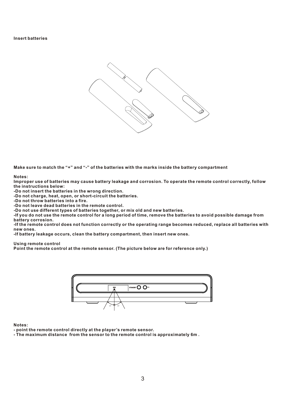

**Make sure to match the "+" and "-" of the batteries with the marks inside the battery compartment**

**Notes:**

**Improper use of batteries may cause battery leakage and corrosion. To operate the remote control correctly, follow the instructions below:**

**-Do not insert the batteries in the wrong direction.**

**-Do not charge, heat, open, or short-circuit the batteries.**

**-Do not throw batteries into a fire.**

**-Do not leave dead batteries in the remote control.**

**-Do not use different types of batteries together, or mix old and new batteries.**

**-If you do not use the remote control for a long period of time, remove the batteries to avoid possible damage from battery corrosion.**

**-If the remote control does not function correctly or the operating range becomes reduced, replace all batteries with new ones.**

**-If battery leakage occurs, clean the battery compartment, then insert new ones.**

**Using remote control**

**Point the remote control at the remote sensor. (The picture below are for reference only.)**



#### **Notes:**

**- point the remote control directly at the player's remote sensor.**

**- The maximum distance from the sensor to the remote control is approximately 6m .**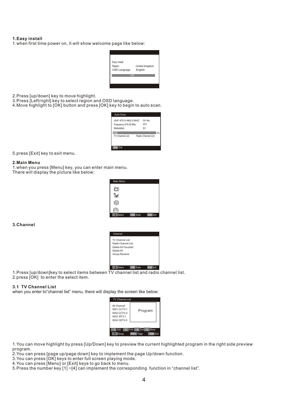# **1.Easy install**

1.when first time power on, it will show welcome page like below:



- 2.Press [up/down] key to move highlight.
- 3.Press [Left/right] key to select region and OSD language.
- 4.Move highlight to [OK] button and press [OK] key to begin to auto scan.



5.press [Exit] key to exit menu.

## **2.Main Menu**

1.when you press [Menu] key, you can enter main menu. There will display the picture like below:



# **3.Channel**



1.Press [up/down]key to select items between TV channel list and radio channel list. 2.press [OK] to enter the select item.

## **3.1 TV Channel List**

when you enter to"channel list" menu, there will display the screen like below:



1.You can move highlight by press [Up/Down] key to preview the current highlighted program in the right side preview program.

2.You can press [page up/page down] key to implement the page Up/down function.

3.You can press [OK] keys to enter full screen playing mode.

4.You can press [Menu] or [Exit] keys to go back to menu.

5.Press the number key [1] ~[4] can implement the corresponding function in "channel list".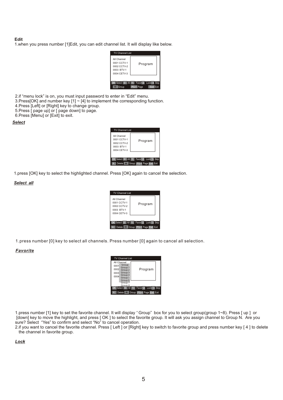# **Edit**

1.when you press number [1]Edit, you can edit channel list. It will display like below.

| <b>TV Channel List</b>                                                 |                                                                            |
|------------------------------------------------------------------------|----------------------------------------------------------------------------|
| All Channel<br>0001 CCTV-1<br>0002 CCTV-2<br>0003 BTV-1<br>0004 CETV-3 | Program                                                                    |
| Group                                                                  | OK Select 0 All 1. Favor 2. Lock 3. Skip<br>Exit<br>Fxit<br>$PG-+$<br>Page |

2.if "menu lock" is on, you must input password to enter in "Edit" menu.

- 3.Press[OK] and number key [1] ~ [4] to implement the corresponding function.
- 4.Press [Left] or [Right] key to change group.
- 5.Press [ page up] or [ page down] to page.
- 6.Press [Menu] or [Exit] to exit.

*Select*

| <b>TV Channel List</b>                                                 |                                                                                |  |
|------------------------------------------------------------------------|--------------------------------------------------------------------------------|--|
| All Channel<br>0001 CCTV-1<br>0002 CCTV-2<br>0003 BTV-1<br>0004 CETV-3 | Program                                                                        |  |
|                                                                        | OK Select 0 All 1. Favor 2. Lock 3. Skip<br>Delete D Group PG-+ Page Exit Exit |  |

1.press [OK] key to select the highlighted channel. Press [OK] again to cancel the selection.

*Select all*

| <b>TV Channel List</b>                                                 |                                                                         |
|------------------------------------------------------------------------|-------------------------------------------------------------------------|
| All Channel<br>0001 CCTV-1<br>0002 CCTV-2<br>0003 RTV-1<br>0004 CETV-3 | Program                                                                 |
| <b>Delete</b>                                                          | OK Select 0 All 1. Favor 2. Lock 3. Skip<br>4 Group PG-+ Page Exit Exit |

1.press number [0] key to select all channels. Press number [0] again to cancel all selection.

## *Favorite*

|                                             | <b>TV Channel List</b>                                                                        |                                          |
|---------------------------------------------|-----------------------------------------------------------------------------------------------|------------------------------------------|
| All Channel<br>0001<br>0002<br>0003<br>0004 | Group<br>Group 1<br>Group <sub>2</sub><br>Group 3<br>Group 4<br>Group 5<br>Group <sub>6</sub> | Program                                  |
|                                             | Group 7<br>Group 8                                                                            |                                          |
|                                             |                                                                                               | OK Select 0 All 1. Favor 2. Lock 3. Skip |
|                                             | Delete                                                                                        | Group PG-+ Page Exit Exit                |

1.press number [1] key to set the favorite channel. It will display "Group" box for you to select group(group 1~8). Press [ up ] or [down] key to move the highlight, and press [OK] to select the favorite group. It will ask you assign channel to Group N. Are you sure? Select "Yes" to confirm and select "No" to cancel operation.

2.if you want to cancel the favorite channel. Press [ Left ] or [Right] key to switch to favorite group and press number key [ 4 ] to delete the channel in favorite group.

*Lock*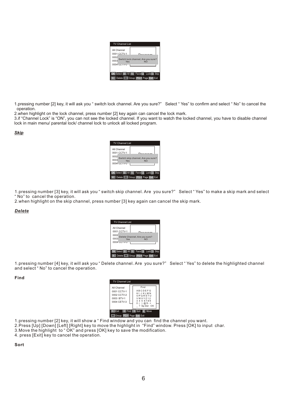| <b>TV Channel List</b>                                                         |  |
|--------------------------------------------------------------------------------|--|
| All Channel                                                                    |  |
| 0001 CCTV-1<br>0002<br>Switch lock channel, Are you sure?                      |  |
| 0003<br>Yes<br>NΩ<br>$0004$ $-1$ $-1$                                          |  |
|                                                                                |  |
| OK Select 0 All 1. Favor 2. Lock 3. Skip<br>Delete 1 Group PG-+ Page Exit Exit |  |

1.pressing number [2] key, it will ask you " switch lock channel. Are you sure?" Select " Yes" to confirm and select " No" to cancel the operation.

2.when highlight on the lock channel, press number [2] key again can cancel the lock mark.

3.if "Channel Lock" is "ON", you can not see the locked channel. If you want to watch the locked channel, you have to disable channel lock in main menu/ parental lock/ channel lock to unlock all locked program.

# *Skip*



1.pressing number [3] key, it will ask you " switch skip channel. Are you sure?" Select " Yes" to make a skip mark and select " No" to cancel the operation.

2.when highlight on the skip channel, press number [3] key again can cancel the skip mark.

# *Delete*



1.pressing number [4] key, it will ask you " Delete channel. Are you sure?" Select " Yes" to delete the highlighted channel and select " No" to cancel the operation.

# **Find**

| <b>TV Channel List</b><br>All Channel<br>0001 CCTV-1<br>0002 CCTV-2<br>0003 BTV-1<br>0004 CETV-3 | Find<br><b>ABCDEFG</b><br>HIJKIMN<br>OPORSTU<br>VWXYZ12<br>3456789<br>$( ) @$ \$-+<br>? Sp Del OK |
|--------------------------------------------------------------------------------------------------|---------------------------------------------------------------------------------------------------|
| Exit                                                                                             | 2 Find 3. Sort 4.                                                                                 |
| Group PG-+ Page Exit Exit                                                                        | Move                                                                                              |

1.pressing number [2] key, it will show a " Find window and you can find the channel you want.

2.Press [Up] [Down] [Left] [Right] key to move the highlight in "Find" window. Press [OK] to input char.

- 3.Move the highlight to " OK" and press [OK] key to save the modification.
- 4. press [Exit] key to cancel the operation.

**Sort**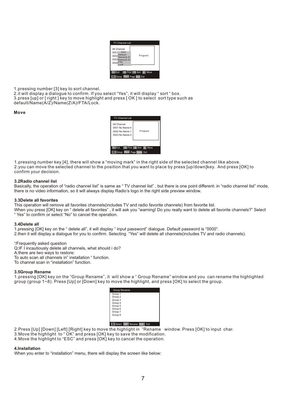

1.pressing number [3] key to sort channel.

2.it will display a dialogue to confirm. If you select "Yes", it will display " sort " box. 3.press [up] or [ right ] key to move highlight and press [ OK ] to select sort type such as default/Name(A/Z)/Name(Z/A)/FTA/Lock.

# **Move**



1.pressing number key [4], there will show a "moving mark" in the right side of the selected channel like above. 2.you can move the selected channel to the position that you want to place by press [up/down]key. And press [OK] to confirm your decision.

#### **3.2Radio channel list**

Basically, the operation of "radio channel list" is same as " TV channel list", but there is one point different: in "radio channel list" mode. there is no video information, so it will always display Radio's logo in the right side preview window.

#### **3.3Delete all favorites**

This operation will remove all favorites channels(includes TV and radio favorite channels) from favorite list.

When you press [OK] key on " delete all favorites" , it will ask you "warning! Do you really want to delete all favorite channels?" Select " Yes" to confirm or select "No" to cancel the operation.

#### **3.4Delete all**

1.pressing [OK] key on the " delete all", it will display " input password" dialogue. Default password is "0000".

2.then it will display a dialogue for you to confirm. Selecting "Yes" will delete all channels(includes TV and radio channels).

?Frequently asked question

Q:IF I incautiously delete all channels, what should i do?

A:there are two ways to restore:

To auto scan all channels in" installation " function.

To channel scan in "installation" function.

## **3.5Group Rename**

1.pressing [OK] key on the "Group Rename", it will show a " Group Rename" window and you can rename the highlighted group (group 1~8). Press [Up] or [Down] key to move the highlight, and press [OK] to select the group.

| Group Rename                               |
|--------------------------------------------|
| Group 1                                    |
| Group 2                                    |
| Group 3                                    |
| Group 4                                    |
| Group 5                                    |
| Group 6                                    |
| Group 7                                    |
| Group 8                                    |
|                                            |
|                                            |
| OK Rename<br>Exit<br><b>Select</b><br>Exit |

2.Press [Up] [Down] [Left] [Right] key to move the highlight in "Rename window. Press [OK] to input char.

3. Move the highlight to "OK" and press [OK] key to save the modification.

4.Move the highlight to "ESC" and press [OK] key to cancel the operation.

## **4.Installation**

When you enter to "installation" menu, there will display the screen like below: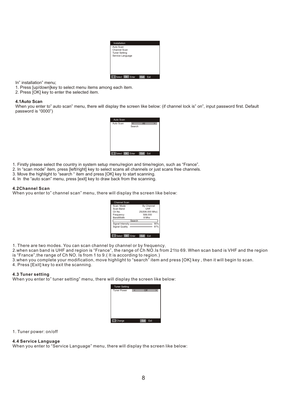

In" installation" menu;

- 1. Press [up/down]key to select menu items among each item.
- 2. Press [OK] key to enter the selected item.

# **4.1Auto Scan**

When you enter to" auto scan" menu, there will display the screen like below: (if channel lock is" on", input password first. Default password is "0000")



- 1. Firstly please select the country in system setup menu/region and time/region, such as "France".
- 2. In "scan mode" item, press [left/right] key to select scans all channels or just scans free channels.
- 3. Move the highlight to "search " item and press [OK] key to start scanning.
- 4. In the "auto scan" menu, press [exit] key to draw back from the scanning.

# **4.2Channel Scan**

When you enter to" channel scan" menu, there will display the screen like below:

| Channel Scan              |                 |  |
|---------------------------|-----------------|--|
| Scan Mode                 | By Channel      |  |
| Scan Band                 | <b>UHF</b>      |  |
| Ch No.                    | 25(506.000 Mhz) |  |
| Frequency                 | 506.000         |  |
| <b>BandWidth</b>          | 8 Mhz           |  |
| Search                    |                 |  |
| Signal Intensity          | 90%             |  |
| <b>Signal Quality</b>     | 97%             |  |
|                           |                 |  |
| <b>OK</b> Enter<br>Select |                 |  |

1. There are two modes. You can scan channel by channel or by frequency.

2.when scan band is UHF and region is "France", the range of Ch NO.Is from 21to 69. When scan band is VHF and the region is "France",the range of Ch NO. Is from 1 to 9.( It is according to region.)

3.when you complete your modification, move highlight to "search" item and press [OK] key , then it will begin to scan.

4. Press [Exit] key to exit the scanning.

# **4.3 Tuner setting**

When you enter to" tuner setting" menu, there will display the screen like below:

| <b>Tuner Setting</b> |                |     |      |        |
|----------------------|----------------|-----|------|--------|
| <b>Tuner Power</b>   | $\overline{a}$ | Off |      | $\geq$ |
|                      |                |     |      |        |
|                      |                |     |      |        |
|                      |                |     |      |        |
|                      |                |     |      |        |
|                      |                |     |      |        |
|                      |                |     |      |        |
|                      |                |     |      |        |
|                      |                |     |      |        |
| Change               |                | Ex  | Exit |        |

1. Tuner power: on/off

# **4.4 Service Language**

When you enter to "Service Language" menu, there will display the screen like below: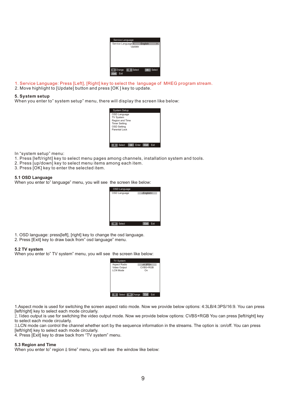| Service Language              |          |           |        |
|-------------------------------|----------|-----------|--------|
| Service Language <            | Update   | English   |        |
| Change<br>$\triangle$<br>Exit | l Select | <b>ok</b> | Select |

- 1. Service Language: Press [Left], [Right] key to select the language of MHEG program stream.
- 2. Move highlight to [Update] button and press [OK ] key to update.

# **5. System setup**

When you enter to" system setup" menu, there will display the screen like below:



In "system setup" menu:

- 1. Press [left/right] key to select menu pages among channels, installation system and tools.
- 2. Press [up/down] key to select menu items among each item.
- 3. Press [OK] key to enter the selected item.

# **5.1 OSD Language**

When you enter to" language" menu, you will see the screen like below:



1. OSD language: press[left], [right] key to change the osd language.

2. Press [Exit] key to draw back from" osd language" menu.

#### **5.2 TV system**

When you enter to" TV system" menu, you will see the screen like below:



1.Aspect mode is used for switching the screen aspect ratio mode. Now we provide below options: 4:3LB/4:3PS/16:9. You can press [left/right] key to select each mode circularly.

2.Video output is use for switching the video output mode. Now we provide below options: CVBS+RGB You can press [left/right] key to select each mode circularly.

3.LCN mode can control the channel whether sort by the sequence information in the streams. The option is :on/off. You can press [left/right] key to select each mode circularly.

4. Press [Exit] key to draw back from "TV system" menu.

## **5.3 Region and Time**

When you enter to" region  $\&$  time" menu, you will see the window like below: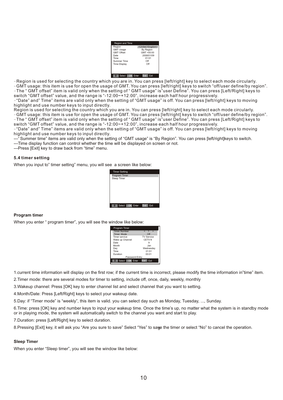| Region              | <united kingdom=""></united> |
|---------------------|------------------------------|
| <b>GMT Usage</b>    | By Region                    |
| <b>GMT Offset</b>   | $GMT + 00:00$                |
| Date                | 2008/01/09                   |
| Time                | 01:51                        |
| Summer Time         | Off                          |
| <b>Time Display</b> | Off                          |
|                     |                              |
|                     |                              |
|                     |                              |

-Region is used for selecting the country which you are in. You can press [left/right] key to select each mode circularly. -GMT usage: this item is use for open the usage of GMT. You can press [left/right] keys to switch "off/user define/by region".

-The " GMT offset" item is valid only when the setting of " GMT usage" is"user Define". You can press [Left/Right] keys to switch "GMT offset" value, and the range is "-12:00~+12:00", increase each half hour progressively.

-"Date" and" Time" items are valid only when the setting of "GMT usage" is off. You can press [left/right] keys to moving highlight and use number keys to input directly.

Region is used for selecting the country which you are in. You can press [left/right] key to select each mode circularly. -GMT usage: this item is use for open the usage of GMT. You can press [left/right] keys to switch "off/user define/by region". -The " GMT offset" item is valid only when the setting of " GMT usage" is"user Define". You can press [Left/Right] keys to switch "GMT offset" value, and the range is "-12:00~+12:00", increase each half hour progressively.

-"Date" and" Time" items are valid only when the setting of "GMT usage" is off. You can press [left/right] keys to moving highlight and use number keys to input directly.

---"Summer time" items are valid only when the setting of "GMT usage" is "By Region". You can press [left/right]keys to switch.

---Time display function can control whether the time will be displayed on screen or not.

---Press [Exit] key to draw back from "time" menu.

# **5.4 timer setting**

When you input to" timer setting" menu, you will see a screen like below:

| <b>Timer Setting</b>               |
|------------------------------------|
| Program Timer                      |
| Sleep Timer                        |
|                                    |
|                                    |
|                                    |
|                                    |
|                                    |
|                                    |
|                                    |
|                                    |
| OK Enter<br>Select<br>Exit<br>Exit |

# **Program timer**

When you enter " program timer", you will see the window like below:

| Program Timer         |                              |  |
|-----------------------|------------------------------|--|
| <b>Timer Number</b>   | $\overline{ }$<br>$\epsilon$ |  |
| <b>Timer Mode</b>     | Off                          |  |
| Timer service         | <b>TV Service</b>            |  |
| Wake up Channel       | CETV-9                       |  |
| Date                  |                              |  |
| Month                 | <b>Jan</b>                   |  |
| Day                   | Wednesday                    |  |
| <b>Time</b>           | 01:51                        |  |
| Duration              | 00:01                        |  |
| Password Entry        |                              |  |
| OK<br>Select<br>Enter | Exit<br>Fxit                 |  |

1.current time information will display on the first row; if the current time is incorrect, please modify the time information in"time" item.

2.Timer mode: there are several modes for timer to setting, include off, once, daily, weekly, monthly

3.Wakeup channel: Press [OK] key to enter channel list and select channel that you want to setting.

4.Month/Date: Press [Left/Right] keys to select your wakeup date.

5.Day: if "Timer mode" is "weekly", this item is valid. you can select day such as Monday, Tuesday, ..., Sunday.

6.Time: press [OK] key and number keys to input your wakeup time. Once the time's up, no matter what the system is in standby mode or in playing mode, the system will automatically switch to the channel you want and start to play.

7.Duration: press [Left/Right] key to select duration.

8.Pressing [Exit] key, it will ask you "Are you sure to save" Select "Yes" to sa<del>y</del>e the timer or select "No" to cancel the operation.

# **Sleep Timer**

When you enter "Sleep timer", you will see the window like below: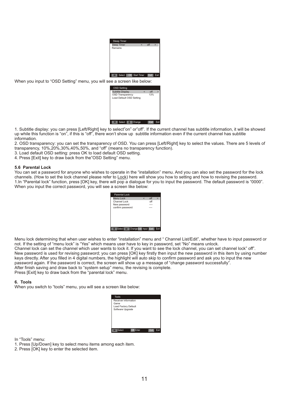| Sleep Timer                   |                |            |              |
|-------------------------------|----------------|------------|--------------|
| <b>Sleep Timer</b><br>Remains | $\overline{a}$ | $\circ$ ff | $\mathbf{I}$ |
| OK Start Timer<br>Select      |                | Exit       | Exit         |
| ee a screen like below:       |                |            |              |

When vou input to "OSD Setting" menu, you will see a screen like



1. Subtitle display: you can press [Left/Right] key to select"on" or"off". If the current channel has subtitle information, it will be showed up while this function is "on", if this is "off", there won't show up subtitle information even if the current channel has subtitle information.

2. OSD transparency: you can set the transparency of OSD. You can press [Left/Right] key to select the values. There are 5 levels of transparency, 10%,20%,30%,40%,50%, and "off" (means no transparency function).

3. Load default OSD setting: press OK to load default OSD setting.

4. Press [Exit] key to draw back from the"OSD Setting" menu.

#### **5.6 Parental Lock**

You can set a password for anyone who wishes to operate in the "installation" menu. And you can also set the password for the lock channels. (How to set the lock channel please refer to Lock) here will show you how to setting and how to revising the password. 1.In "Parental lock" function, press [OK] key, there will pop a dialogue for you to input the password. The default password is "0000". When you input the correct password, you will see a screen like below:



Menu lock determining that when user wishes to enter "installation" menu and " Channel List/Edit", whether have to input password or not. If the setting of "menu lock" is "Yes" which means user have to key in password, set "No" means unlock.

Channel lock can set the channel which user wants to lock it. If you want to see the lock channel, you can set channel lock" off". New password is used for revising password; you can press [OK] key firstly then input the new password in this item by using number keys directly. After you filled in 4 digital numbers, the highlight will auto skip to confirm password and ask you to input the new password again. If the password is correct, the screen will show up a message of "change password successfully". After finish saving and draw back to "system setup" menu, the revising is complete.

Press [Exit] key to draw back from the "parental lock" menu.

#### **6. Tools**

When you switch to "tools" menu, you will see a screen like below:



In "Tools" menu:

1. Press [Up/Down] key to select menu items among each item.

2. Press [OK] key to enter the selected item.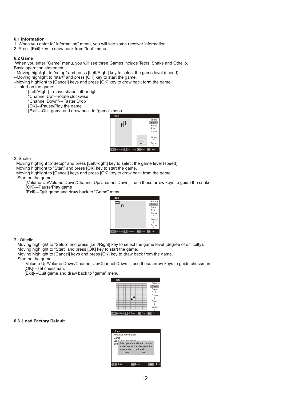# **6.1 Information**

- 1. When you enter to" information" menu, you will see some receiver information.
- 2. Press [Exit] key to draw back from "tool" menu.

# **6.2 Game**

 When you enter "Game" menu, you will see three Games include Tetris, Snake and Othello. Basic operation statement:

--Moving highlight to "setup" and press [Left/Right] key to select the game level (speed).

- --Moving highlight to "start" and press [OK] key to start the game.
- –Moving highlight to [Cancel] keys and press [OK] key to draw back form the game.

– start on the game:

 [Left/Right]---move shape left or right "Channel Up"---rotate clockwise

"Channel Down"---Faster Drop

[OK]---Pause/Play the game

[Exit]---Quit game and draw back to "game" menu.



## 2. Snake

Moving highlight to"Setup" and press [Left/Right] key to select the game level (speed).

Moving highlight to "Start" and press [OK] key to start the game.

Moving highlight to [Cancel] keys and press [OK] key to draw back from the game.

Start on the game:

 [Volume Up/Volume Down/Channel Up/Channel Down]---use these arrow keys to guide the snake. [OK]---Pause/Play game

[Exit]---Quit game and draw back to "Game" menu.



#### 3. Othello

Moving highlight to "Setup" and press [Left/Right] key to select the game level (degree of difficulty).

Moving highlight to "Start" and press [OK] key to start the game.

 Moving highlight to [Cancel] keys and press [OK] key to draw back from the game. Start on the game:

 [Volume Up/Volume Down/Channel Up/Channel Down]---use these arrow keys to guide chessman. [OK]---set chessman.

[Exit]---Quit game and draw back to "game" menu.

| <b>Tools</b>                                 |                |
|----------------------------------------------|----------------|
|                                              | Othello        |
|                                              | <b>Start</b>   |
|                                              | Setup          |
|                                              | Exit           |
|                                              | Class          |
|                                              |                |
|                                              | Black          |
|                                              | $\overline{2}$ |
|                                              | White          |
|                                              |                |
| Left/Right<br>$\bigcirc$ UP/Down<br>OK Enter | Exit<br>Exit   |

## **6.3 Load Factory Default**

| Tools<br>Game<br>Loa | Receiver information<br>Soft This operation will load default<br>and erase all the channels that<br>Yes | user added, continue? | No |  |
|----------------------|---------------------------------------------------------------------------------------------------------|-----------------------|----|--|
|                      |                                                                                                         |                       |    |  |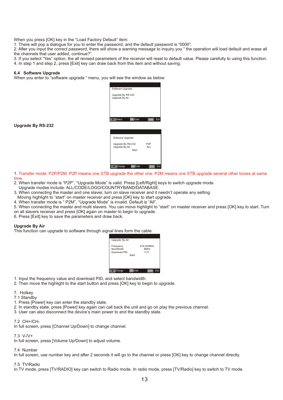When you press [OK] key in the "Load Factory Default" item:

1. There will pop a dialogue for you to enter the password, and the default password is "0000".

2. After you input the correct password, there will show a warning message to inquiry you " the operation will load default and erase all the channels that user added, continue?".

3. If you select "Yes" option, the all revised parameters of the receiver will reset to default value. Please carefully to using this function.

4. In step 1 and step 2, press [Exit] key can draw back from this item and without saving.

#### **6.4 Software Upgrade**

When you enter to "software upgrade " menu, you will see the window as below:



**Upgrade By RS-232**



1. Transfer mode: P2P/P2M. P2P means one STB upgrade the other one. P2M means one STB upgrade several other boxes at same time.

2. When transfer mode is "P2P", "Upgrade Mode" is valid. Press [Left/Right] keys to switch upgrade mode.

- Upgrade modes include: ALL/CODE/LOGO/COUNTRYBAND/DATABASE.
- 3. When connecting the master and one slaver, turn on slave receiver and it needn't operate any setting.

Moving highlight to "start" on master receiver and press [OK] key to start upgrade.

4. When transfer mode is " P2M", "Upgrade Mode" is invalid. Default is "All".

5. When connecting the master and multi slavers. You can move highlight to "start" on master receiver and press [OK] key to start. Turn on all slavers receiver and press [OK] again on master to begin to upgrade.

6. Press [Exit] key to save the parameters and draw back.

## **Upgrade By Air**

This function can upgrade to software through signal lines form the cable.



1. Input the frequency value and download PID, and select bandwidth.

2. Then move the highlight to the start button and press [OK] key to begin to upgrade.

7. Hotkey

7.1 Standby

- 1. Press [Power] key can enter the standby state.
- 2. In standby state, press [Power] key again can call back the unit and go on play the previous channel.
- 3. User can also disconnect the device's main power to end the standby state.

#### 7.2 CH+/CH-

In full screen, press [Channel Up/Down] to change channel.

## 7.3 V-/V+

In full screen, press [Volume Up/Down] to adjust volume.

# 7.4 Number

In full screen, use number key and after 2 seconds it will go to the channel or press [OK] key to change channel directly.

# 7.5 TV/Radio

In TV mode, press [TV/RADIO] key can switch to Radio mode. In radio mode, press [TV/Radio] key to switch to TV mode.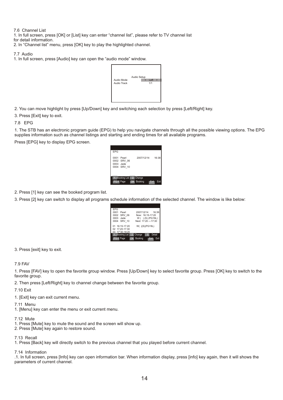7.6 Channel List

1. In full screen, press [OK] or [List] key can enter "channel list", please refer to TV channel list

for detail information.

2. In "Channel list" menu, press [OK] key to play the highlighted channel.

7.7 Audio

1. In full screen, press [Audio] key can open the "audio mode" window.



2. You can move highlight by press [Up/Down] key and switching each selection by press [Left/Right] key.

3. Press [Exit] key to exit.

7.8 EPG

1. The STB has an electronic program guide (EPG) to help you navigate channels through all the possible viewing options. The EPG supplies information such as channel listings and starting and ending times for all available programs.

Press [EPG] key to display EPG screen.

| <b>EPG</b>                                              |                           |            |      |       |
|---------------------------------------------------------|---------------------------|------------|------|-------|
| 0001 Pearl<br>0002 SRV 06<br>$0003$ Jade<br>0004 SRV 10 |                           | 2007/12/14 |      | 16:38 |
| PG-+ Page                                               | 1. Booking List 2. Change | OK Booking | Exit | Exit  |

2. Press [1] key can see the booked program list.

3. Press [2] key can switch to display all programs schedule information of the selected channel. The window is like below:

| 16:39<br>2007/12/14   |
|-----------------------|
| Now: 16:15-17:20      |
| W ( ) (S) (PG19L)     |
| Next: 17:20 --- 17:30 |
|                       |
| W()(S)(PG19L)         |
|                       |
|                       |
| Detail<br>3.          |
| Exite<br>Exit         |
|                       |

3. Press [exit] key to exit.

7.9 FAV

1. Press [FAV] key to open the favorite group window. Press [Up/Down] key to select favorite group. Press [OK] key to switch to the favorite group.

2. Then press [Left/Right] key to channel change between the favorite group.

7.10 Exit

1. [Exit] key can exit current menu.

7.11 Menu

1. [Menu] key can enter the menu or exit current menu.

7.12 Mute

1. Press [Mute] key to mute the sound and the screen will show up.

2. Press [Mute] key again to restore sound.

7.13 Recall

1. Press [Back] key will directly switch to the previous channel that you played before current channel.

7.14 Information

.1. In full screen, press [Info] key can open information bar. When information display, press [info] key again, then it will shows the parameters of current channel.